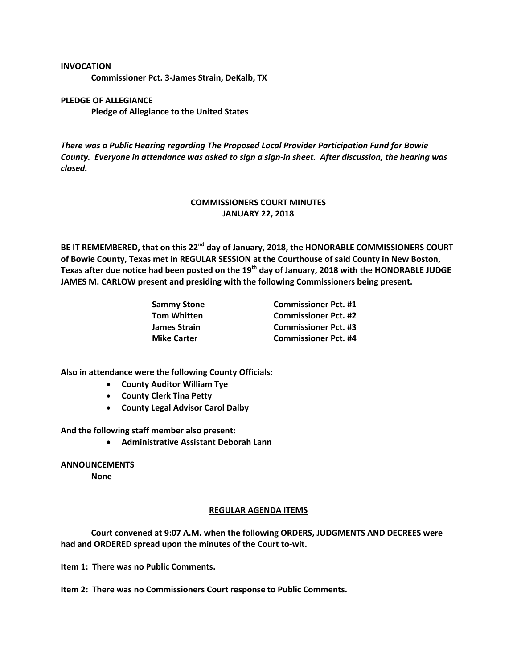#### **INVOCATION**

**Commissioner Pct. 3-James Strain, DeKalb, TX**

# **PLEDGE OF ALLEGIANCE Pledge of Allegiance to the United States**

*There was a Public Hearing regarding The Proposed Local Provider Participation Fund for Bowie County. Everyone in attendance was asked to sign a sign-in sheet. After discussion, the hearing was closed.*

# **COMMISSIONERS COURT MINUTES JANUARY 22, 2018**

**BE IT REMEMBERED, that on this 22nd day of January, 2018, the HONORABLE COMMISSIONERS COURT of Bowie County, Texas met in REGULAR SESSION at the Courthouse of said County in New Boston, Texas after due notice had been posted on the 19th day of January, 2018 with the HONORABLE JUDGE JAMES M. CARLOW present and presiding with the following Commissioners being present.**

| Sammy Stone        | <b>Commissioner Pct. #1</b> |
|--------------------|-----------------------------|
| Tom Whitten        | <b>Commissioner Pct. #2</b> |
| James Strain       | <b>Commissioner Pct. #3</b> |
| <b>Mike Carter</b> | <b>Commissioner Pct. #4</b> |

**Also in attendance were the following County Officials:**

- **County Auditor William Tye**
- **County Clerk Tina Petty**
- **County Legal Advisor Carol Dalby**

**And the following staff member also present:**

**Administrative Assistant Deborah Lann**

### **ANNOUNCEMENTS**

**None**

#### **REGULAR AGENDA ITEMS**

**Court convened at 9:07 A.M. when the following ORDERS, JUDGMENTS AND DECREES were had and ORDERED spread upon the minutes of the Court to-wit.**

**Item 1: There was no Public Comments.**

**Item 2: There was no Commissioners Court response to Public Comments.**